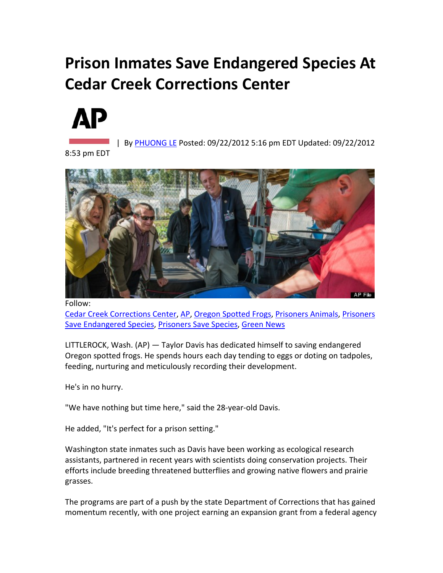## **Prison Inmates Save Endangered Species At Cedar Creek Corrections Center**



| By [PHUONG LE](http://www.huffingtonpost.com/joanna-zelman) Posted: 09/22/2012 5:16 pm EDT Updated: 09/22/2012

8:53 pm EDT



Follow: [Cedar Creek Corrections Center,](http://www.huffingtonpost.com/news/cedar-creek-corrections-center) [AP,](http://www.huffingtonpost.com/news/ap) [Oregon Spotted Frogs,](http://www.huffingtonpost.com/news/oregon-spotted-frogs) [Prisoners Animals,](http://www.huffingtonpost.com/news/prisoners-animals) [Prisoners](http://www.huffingtonpost.com/news/prisoners-save-endangered-species)  [Save Endangered Species,](http://www.huffingtonpost.com/news/prisoners-save-endangered-species) [Prisoners Save Species,](http://www.huffingtonpost.com/news/prisoners-save-species) [Green News](http://www.huffingtonpost.com/green)

LITTLEROCK, Wash. (AP) — Taylor Davis has dedicated himself to saving endangered Oregon spotted frogs. He spends hours each day tending to eggs or doting on tadpoles, feeding, nurturing and meticulously recording their development.

He's in no hurry.

"We have nothing but time here," said the 28-year-old Davis.

He added, "It's perfect for a prison setting."

Washington state inmates such as Davis have been working as ecological research assistants, partnered in recent years with scientists doing conservation projects. Their efforts include breeding threatened butterflies and growing native flowers and prairie grasses.

The programs are part of a push by the state Department of Corrections that has gained momentum recently, with one project earning an expansion grant from a federal agency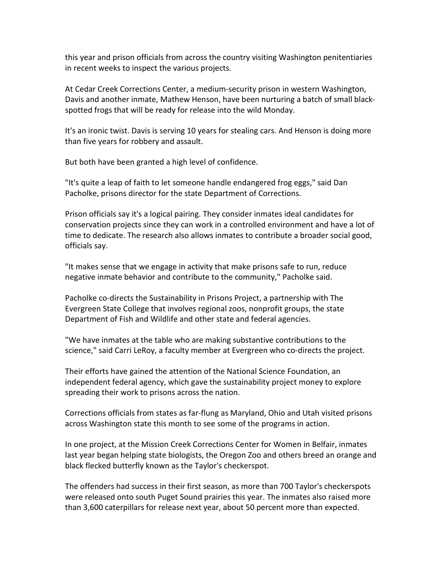this year and prison officials from across the country visiting Washington penitentiaries in recent weeks to inspect the various projects.

At Cedar Creek Corrections Center, a medium-security prison in western Washington, Davis and another inmate, Mathew Henson, have been nurturing a batch of small blackspotted frogs that will be ready for release into the wild Monday.

It's an ironic twist. Davis is serving 10 years for stealing cars. And Henson is doing more than five years for robbery and assault.

But both have been granted a high level of confidence.

"It's quite a leap of faith to let someone handle endangered frog eggs," said Dan Pacholke, prisons director for the state Department of Corrections.

Prison officials say it's a logical pairing. They consider inmates ideal candidates for conservation projects since they can work in a controlled environment and have a lot of time to dedicate. The research also allows inmates to contribute a broader social good, officials say.

"It makes sense that we engage in activity that make prisons safe to run, reduce negative inmate behavior and contribute to the community," Pacholke said.

Pacholke co-directs the Sustainability in Prisons Project, a partnership with The Evergreen State College that involves regional zoos, nonprofit groups, the state Department of Fish and Wildlife and other state and federal agencies.

"We have inmates at the table who are making substantive contributions to the science," said Carri LeRoy, a faculty member at Evergreen who co-directs the project.

Their efforts have gained the attention of the National Science Foundation, an independent federal agency, which gave the sustainability project money to explore spreading their work to prisons across the nation.

Corrections officials from states as far-flung as Maryland, Ohio and Utah visited prisons across Washington state this month to see some of the programs in action.

In one project, at the Mission Creek Corrections Center for Women in Belfair, inmates last year began helping state biologists, the Oregon Zoo and others breed an orange and black flecked butterfly known as the Taylor's checkerspot.

The offenders had success in their first season, as more than 700 Taylor's checkerspots were released onto south Puget Sound prairies this year. The inmates also raised more than 3,600 caterpillars for release next year, about 50 percent more than expected.